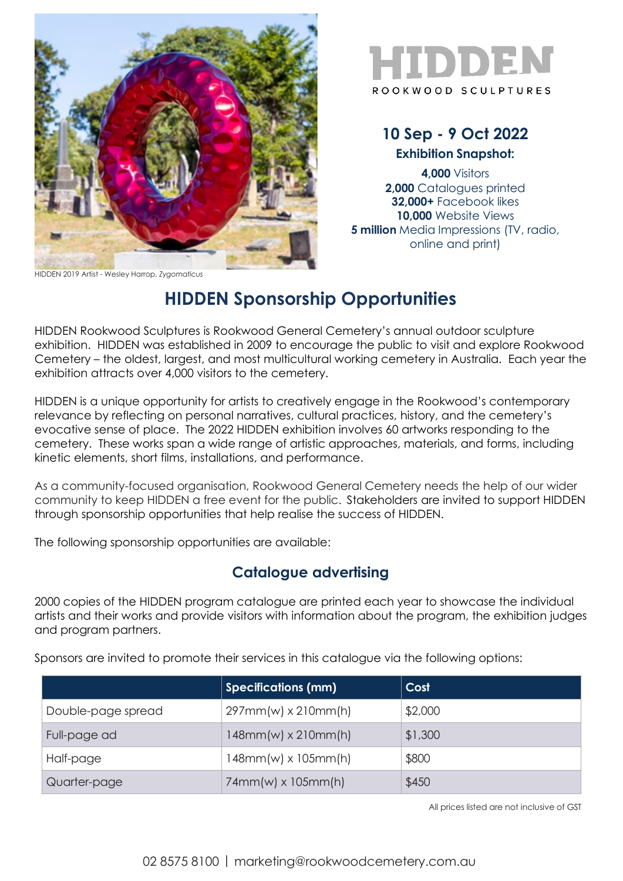

HIDDEN 2019 Artist - Wesley Harrop, *Zygomaticus*



## **10 Sep - 9 Oct 2022 Exhibition Snapshot:**

**4,000** Visitors **2,000** Catalogues printed **32,000+** Facebook likes **10,000** Website Views **5 million** Media Impressions (TV, radio, online and print)

## **HIDDEN Sponsorship Opportunities**

HIDDEN Rookwood Sculptures is Rookwood General Cemetery's annual outdoor sculpture exhibition. HIDDEN was established in 2009 to encourage the public to visit and explore Rookwood Cemetery – the oldest, largest, and most multicultural working cemetery in Australia. Each year the exhibition attracts over 4,000 visitors to the cemetery.

HIDDEN is a unique opportunity for artists to creatively engage in the Rookwood's contemporary relevance by reflecting on personal narratives, cultural practices, history, and the cemetery's evocative sense of place. The 2022 HIDDEN exhibition involves 60 artworks responding to the cemetery. These works span a wide range of artistic approaches, materials, and forms, including kinetic elements, short films, installations, and performance.

As a community-focused organisation, Rookwood General Cemetery needs the help of our wider community to keep HIDDEN a free event for the public. Stakeholders are invited to support HIDDEN through sponsorship opportunities that help realise the success of HIDDEN.

The following sponsorship opportunities are available:

## **Catalogue advertising**

2000 copies of the HIDDEN program catalogue are printed each year to showcase the individual artists and their works and provide visitors with information about the program, the exhibition judges and program partners.

Sponsors are invited to promote their services in this catalogue via the following options:

|                    | <b>Specifications (mm)</b> | Cost    |
|--------------------|----------------------------|---------|
| Double-page spread | $297mm(w) \times 210mm(h)$ | \$2,000 |
| Full-page ad       | $148mm(w) \times 210mm(h)$ | \$1,300 |
| Half-page          | $148mm(w) \times 105mm(h)$ | \$800   |
| Quarter-page       | $74mm(w) \times 105mm(h)$  | \$450   |

All prices listed are not inclusive of GST